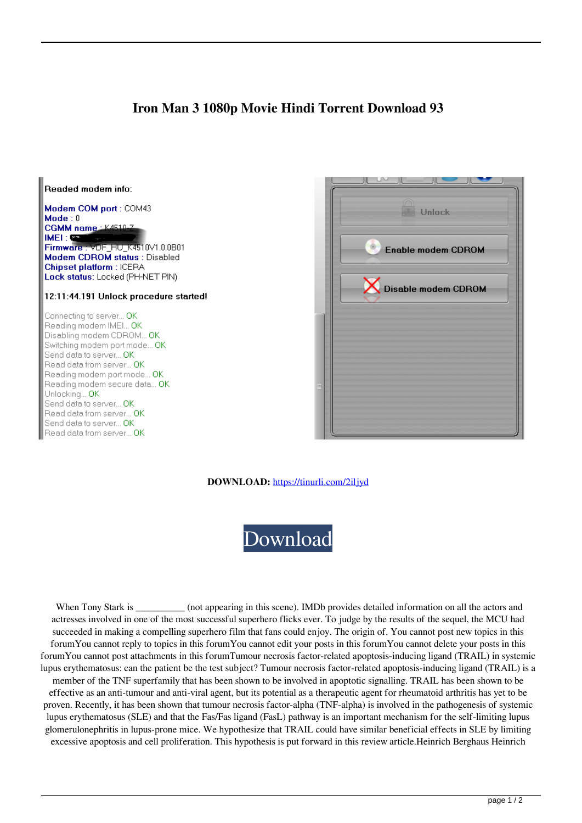## **Iron Man 3 1080p Movie Hindi Torrent Download 93**





**DOWNLOAD:** <https://tinurli.com/2iljyd>



When Tony Stark is \_\_\_\_\_\_\_\_\_\_ (not appearing in this scene). IMDb provides detailed information on all the actors and actresses involved in one of the most successful superhero flicks ever. To judge by the results of the sequel, the MCU had succeeded in making a compelling superhero film that fans could enjoy. The origin of. You cannot post new topics in this forumYou cannot reply to topics in this forumYou cannot edit your posts in this forumYou cannot delete your posts in this forumYou cannot post attachments in this forumTumour necrosis factor-related apoptosis-inducing ligand (TRAIL) in systemic lupus erythematosus: can the patient be the test subject? Tumour necrosis factor-related apoptosis-inducing ligand (TRAIL) is a member of the TNF superfamily that has been shown to be involved in apoptotic signalling. TRAIL has been shown to be effective as an anti-tumour and anti-viral agent, but its potential as a therapeutic agent for rheumatoid arthritis has yet to be

proven. Recently, it has been shown that tumour necrosis factor-alpha (TNF-alpha) is involved in the pathogenesis of systemic lupus erythematosus (SLE) and that the Fas/Fas ligand (FasL) pathway is an important mechanism for the self-limiting lupus glomerulonephritis in lupus-prone mice. We hypothesize that TRAIL could have similar beneficial effects in SLE by limiting excessive apoptosis and cell proliferation. This hypothesis is put forward in this review article.Heinrich Berghaus Heinrich